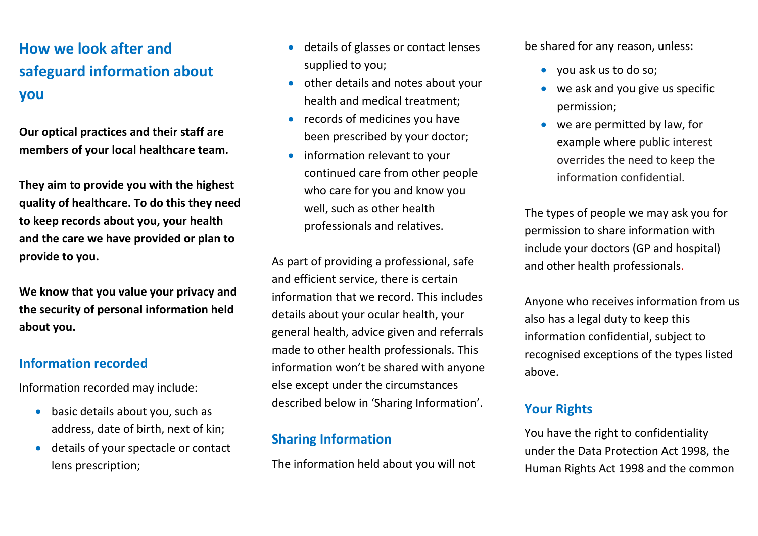# **How we look after and safeguard information about you**

**Our optical practices and their staff are members of your local healthcare team.** 

**They aim to provide you with the highest quality of healthcare. To do this they need to keep records about you, your health and the care we have provided or plan to provide to you.**

**We know that you value your privacy and the security of personal information held about you.**

#### **Information recorded**

Information recorded may include:

- basic details about you, such as address, date of birth, next of kin;
- details of your spectacle or contact lens prescription;
- details of glasses or contact lenses supplied to you;
- other details and notes about your health and medical treatment;
- records of medicines you have been prescribed by your doctor;
- information relevant to your continued care from other people who care for you and know you well, such as other health professionals and relatives.

As part of providing a professional, safe and efficient service, there is certain information that we record. This includes details about your ocular health, your general health, advice given and referrals made to other health professionals. This information won't be shared with anyone else except under the circumstances described below in 'Sharing Information'.

#### **Sharing Information**

The information held about you will not

be shared for any reason, unless:

- you ask us to do so;
- we ask and you give us specific permission;
- we are permitted by law, for example where public interest overrides the need to keep the information confidential.

The types of people we may ask you for permission to share information with include your doctors (GP and hospital) and other health professionals.

Anyone who receives information from us also has a legal duty to keep this information confidential, subject to recognised exceptions of the types listed above.

### **Your Rights**

You have the right to confidentiality under the Data Protection Act 1998, the Human Rights Act 1998 and the common